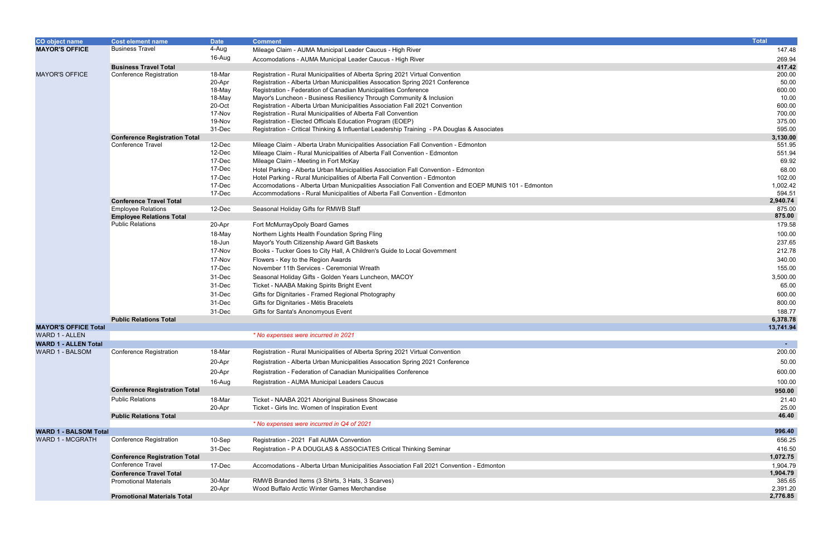| <b>CO object name</b>        | <b>Cost element name</b>                                  | <b>Date</b> | <b>Comment</b>                                                                                                                                                    | <b>Total</b>          |
|------------------------------|-----------------------------------------------------------|-------------|-------------------------------------------------------------------------------------------------------------------------------------------------------------------|-----------------------|
| <b>MAYOR'S OFFICE</b>        | <b>Business Travel</b>                                    | 4-Aug       | Mileage Claim - AUMA Municipal Leader Caucus - High River                                                                                                         | 147.48                |
|                              |                                                           | 16-Aug      | Accomodations - AUMA Municipal Leader Caucus - High River                                                                                                         | 269.94                |
|                              | <b>Business Travel Total</b>                              |             |                                                                                                                                                                   | 417.42                |
| <b>MAYOR'S OFFICE</b>        | Conference Registration                                   | 18-Mar      | Registration - Rural Municipalities of Alberta Spring 2021 Virtual Convention                                                                                     | 200.00                |
|                              |                                                           | 20-Apr      | Registration - Alberta Urban Municipalities Assocation Spring 2021 Conference                                                                                     | 50.00                 |
|                              |                                                           | 18-May      | Registration - Federation of Canadian Municipalities Conference                                                                                                   | 600.00                |
|                              |                                                           | 18-May      | Mayor's Luncheon - Business Resiliency Through Community & Inclusion                                                                                              | 10.00                 |
|                              |                                                           | 20-Oct      | Registration - Alberta Urban Municipalities Association Fall 2021 Convention                                                                                      | 600.00                |
|                              |                                                           | 17-Nov      | Registration - Rural Municipalities of Alberta Fall Convention                                                                                                    | 700.00                |
|                              |                                                           | 19-Nov      | Registration - Elected Officials Education Program (EOEP)                                                                                                         | 375.00                |
|                              |                                                           | 31-Dec      | Registration - Critical Thinking & Influential Leadership Training - PA Douglas & Associates                                                                      | 595.00                |
|                              | <b>Conference Registration Total</b><br>Conference Travel | 12-Dec      |                                                                                                                                                                   | 3,130.00<br>551.95    |
|                              |                                                           | 12-Dec      | Mileage Claim - Alberta Urabn Municipalities Association Fall Convention - Edmonton<br>Mileage Claim - Rural Municipalities of Alberta Fall Convention - Edmonton | 551.94                |
|                              |                                                           | 17-Dec      | Mileage Claim - Meeting in Fort McKay                                                                                                                             | 69.92                 |
|                              |                                                           | 17-Dec      |                                                                                                                                                                   | 68.00                 |
|                              |                                                           | 17-Dec      | Hotel Parking - Alberta Urban Municipalities Association Fall Convention - Edmonton<br>Hotel Parking - Rural Municipalities of Alberta Fall Convention - Edmonton | 102.00                |
|                              |                                                           | 17-Dec      | Accomodations - Alberta Urban Municpalities Association Fall Convention and EOEP MUNIS 101 - Edmonton                                                             | 1,002.42              |
|                              |                                                           | 17-Dec      | Accommodations - Rural Municipalities of Alberta Fall Convention - Edmonton                                                                                       | 594.51                |
|                              | <b>Conference Travel Total</b>                            |             |                                                                                                                                                                   | 2,940.74              |
|                              | <b>Employee Relations</b>                                 | 12-Dec      | Seasonal Holiday Gifts for RMWB Staff                                                                                                                             | 875.00                |
|                              | <b>Employee Relations Total</b>                           |             |                                                                                                                                                                   | 875.00                |
|                              | <b>Public Relations</b>                                   | 20-Apr      | Fort McMurrayOpoly Board Games                                                                                                                                    | 179.58                |
|                              |                                                           | 18-May      | Northern Lights Health Foundation Spring Fling                                                                                                                    | 100.00                |
|                              |                                                           | 18-Jun      | Mayor's Youth Citizenship Award Gift Baskets                                                                                                                      | 237.65                |
|                              |                                                           | 17-Nov      | Books - Tucker Goes to City Hall, A Children's Guide to Local Government                                                                                          | 212.78                |
|                              |                                                           | 17-Nov      | Flowers - Key to the Region Awards                                                                                                                                | 340.00                |
|                              |                                                           | 17-Dec      | November 11th Services - Ceremonial Wreath                                                                                                                        | 155.00                |
|                              |                                                           | 31-Dec      | Seasonal Holiday Gifts - Golden Years Luncheon, MACOY                                                                                                             | 3,500.00              |
|                              |                                                           | 31-Dec      | Ticket - NAABA Making Spirits Bright Event                                                                                                                        | 65.00                 |
|                              |                                                           | 31-Dec      |                                                                                                                                                                   | 600.00                |
|                              |                                                           |             | Gifts for Dignitaries - Framed Regional Photography                                                                                                               |                       |
|                              |                                                           | 31-Dec      | Gifts for Dignitaries - Métis Bracelets                                                                                                                           | 800.00                |
|                              | <b>Public Relations Total</b>                             | 31-Dec      | Gifts for Santa's Anonomyous Event                                                                                                                                | 188.77                |
| <b>MAYOR'S OFFICE Total</b>  |                                                           |             |                                                                                                                                                                   | 6,378.78<br>13,741.94 |
| <b>WARD 1 - ALLEN</b>        |                                                           |             | * No expenses were incurred in 2021                                                                                                                               |                       |
| <b>WARD 1 - ALLEN Total</b>  |                                                           |             |                                                                                                                                                                   |                       |
| WARD 1 - BALSOM              | Conference Registration                                   | 18-Mar      | Registration - Rural Municipalities of Alberta Spring 2021 Virtual Convention                                                                                     | 200.00                |
|                              |                                                           |             |                                                                                                                                                                   |                       |
|                              |                                                           | 20-Apr      | Registration - Alberta Urban Municipalities Assocation Spring 2021 Conference                                                                                     | 50.00                 |
|                              |                                                           | 20-Apr      | Registration - Federation of Canadian Municipalities Conference                                                                                                   | 600.00                |
|                              |                                                           | 16-Aug      | Registration - AUMA Municipal Leaders Caucus                                                                                                                      | 100.00                |
|                              | <b>Conference Registration Total</b>                      |             |                                                                                                                                                                   | 950.00                |
|                              | <b>Public Relations</b>                                   | 18-Mar      | Ticket - NAABA 2021 Aboriginal Business Showcase                                                                                                                  | 21.40                 |
|                              |                                                           | 20-Apr      | Ticket - Girls Inc. Women of Inspiration Event                                                                                                                    | 25.00                 |
|                              | <b>Public Relations Total</b>                             |             |                                                                                                                                                                   | 46.40                 |
|                              |                                                           |             | * No expenses were incurred in Q4 of 2021                                                                                                                         |                       |
| <b>WARD 1 - BALSOM Total</b> |                                                           |             |                                                                                                                                                                   | 996.40                |
| WARD 1 - MCGRATH             | Conference Registration                                   | 10-Sep      | Registration - 2021 Fall AUMA Convention                                                                                                                          | 656.25                |
|                              |                                                           | 31-Dec      | Registration - P A DOUGLAS & ASSOCIATES Critical Thinking Seminar                                                                                                 | 416.50                |
|                              | <b>Conference Registration Total</b>                      |             |                                                                                                                                                                   | 1,072.75              |
|                              | Conference Travel                                         | 17-Dec      | Accomodations - Alberta Urban Municipalities Association Fall 2021 Convention - Edmonton                                                                          | 1,904.79              |
|                              | <b>Conference Travel Total</b>                            |             |                                                                                                                                                                   | 1,904.79              |
|                              | <b>Promotional Materials</b>                              | 30-Mar      | RMWB Branded Items (3 Shirts, 3 Hats, 3 Scarves)                                                                                                                  | 385.65                |
|                              |                                                           | 20-Apr      | Wood Buffalo Arctic Winter Games Merchandise                                                                                                                      | 2,391.20              |
|                              | <b>Promotional Materials Total</b>                        |             |                                                                                                                                                                   | 2,776.85              |

| <b>Total</b>       |
|--------------------|
| 147.48             |
| 269.94             |
| 417.42             |
| 200.00             |
| 50.00              |
| 600.00             |
| 10.00              |
| 600.00             |
| 700.00             |
| 375.00             |
| 595.00<br>3,130.00 |
| 551.95             |
| 551.94             |
| 69.92              |
| 68.00              |
| 102.00             |
| 1,002.42           |
| 594.51             |
| 2,940.74           |
| 875.00<br>875.00   |
| 179.58             |
| 100.00             |
| 237.65             |
| 212.78             |
| 340.00             |
| 155.00             |
| 3,500.00           |
| 65.00              |
| 600.00             |
| 800.00             |
| 188.77             |
| 6,378.78           |
| 13,741.94          |
|                    |
|                    |
| 200.00             |
| 50.00              |
| 600.00             |
| 100.00             |
| 950.00             |
| 21.40              |
| 25.00              |
| 46.40              |
| 996.40             |
| 656.25             |
| 416.50             |
| 1,072.75           |
| 1,904.79           |
| 1,904.79           |
| 385.65             |
| 2,391.20           |
| 2,776.85           |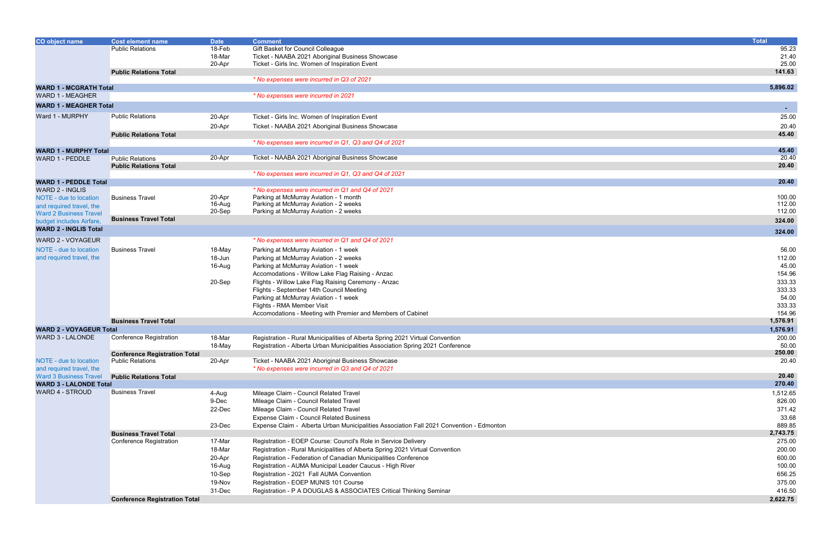| Gift Basket for Council Colleague<br>95.23<br><b>Public Relations</b><br>18-Feb<br>18-Mar<br>Ticket - NAABA 2021 Aboriginal Business Showcase<br>21.40<br>Ticket - Girls Inc. Women of Inspiration Event<br>25.00<br>20-Apr<br>141.63<br><b>Public Relations Total</b><br>* No expenses were incurred in Q3 of 2021<br>5,896.02<br><b>WARD 1 - MCGRATH Total</b><br><b>WARD 1 - MEAGHER</b><br>* No expenses were incurred in 2021<br><b>WARD 1 - MEAGHER Total</b><br>$\sim$<br>Ward 1 - MURPHY<br><b>Public Relations</b><br>25.00<br>Ticket - Girls Inc. Women of Inspiration Event<br>20-Apr<br>20.40<br>Ticket - NAABA 2021 Aboriginal Business Showcase<br>20-Apr<br>45.40<br><b>Public Relations Total</b><br>* No expenses were incurred in Q1, Q3 and Q4 of 2021<br>45.40<br><b>WARD 1 - MURPHY Total</b><br>20.40<br>20-Apr<br>Ticket - NAABA 2021 Aboriginal Business Showcase<br><b>Public Relations</b><br>WARD 1 - PEDDLE<br>20.40<br><b>Public Relations Total</b><br>* No expenses were incurred in Q1, Q3 and Q4 of 2021<br>20.40<br><b>WARD 1 - PEDDLE Total</b><br><b>WARD 2 - INGLIS</b><br>* No expenses were incurred in Q1 and Q4 of 2021<br>Parking at McMurray Aviation - 1 month<br>100.00<br>20-Apr<br><b>Business Travel</b><br>NOTE - due to location<br>112.00<br>16-Aug<br>Parking at McMurray Aviation - 2 weeks<br>and required travel, the<br>112.00<br>Parking at McMurray Aviation - 2 weeks<br>20-Sep<br><b>Ward 2 Business Travel</b><br><b>Business Travel Total</b><br>324.00<br>budget includes Airfare,<br><b>WARD 2 - INGLIS Total</b><br>324.00<br>WARD 2 - VOYAGEUR<br>* No expenses were incurred in Q1 and Q4 of 2021<br><b>Business Travel</b><br>56.00<br>18-May<br>NOTE - due to location<br>Parking at McMurray Aviation - 1 week<br>and required travel, the<br>112.00<br>Parking at McMurray Aviation - 2 weeks<br>18-Jun<br>45.00<br>Parking at McMurray Aviation - 1 week<br>16-Aug<br>154.96<br>Accomodations - Willow Lake Flag Raising - Anzac<br>333.33<br>Flights - Willow Lake Flag Raising Ceremony - Anzac<br>20-Sep<br>333.33<br>Flights - September 14th Council Meeting<br>54.00<br>Parking at McMurray Aviation - 1 week<br>Flights - RMA Member Visit<br>333.33<br>154.96<br>Accomodations - Meeting with Premier and Members of Cabinet<br>1,576.91<br><b>Business Travel Total</b><br>1,576.91<br><b>WARD 2 - VOYAGEUR Total</b><br><b>WARD 3 - LALONDE</b><br><b>Conference Registration</b><br>18-Mar<br>Registration - Rural Municipalities of Alberta Spring 2021 Virtual Convention<br>200.00<br>18-May<br>50.00<br>Registration - Alberta Urban Municipalities Association Spring 2021 Conference<br>250.00<br><b>Conference Registration Total</b><br><b>Public Relations</b><br>20-Apr<br>Ticket - NAABA 2021 Aboriginal Business Showcase<br>20.40<br><b>NOTE - due to location</b><br>and required travel, the<br>* No expenses were incurred in Q3 and Q4 of 2021<br>20.40<br><b>Ward 3 Business Travel</b><br><b>Public Relations Total</b><br><b>WARD 3 - LALONDE Total</b><br>270.40<br>WARD 4 - STROUD<br><b>Business Travel</b><br>Mileage Claim - Council Related Travel<br>1,512.65<br>4-Aug<br>9-Dec<br>Mileage Claim - Council Related Travel<br>826.00<br>22-Dec<br>Mileage Claim - Council Related Travel<br>371.42<br>Expense Claim - Council Related Business<br>33.68<br>23-Dec<br>Expense Claim - Alberta Urban Municipalities Association Fall 2021 Convention - Edmonton<br>889.85<br>2,743.75<br><b>Business Travel Total</b><br>Conference Registration<br>Registration - EOEP Course: Council's Role in Service Delivery<br>17-Mar<br>275.00<br>200.00<br>18-Mar<br>Registration - Rural Municipalities of Alberta Spring 2021 Virtual Convention<br>Registration - Federation of Canadian Municipalities Conference<br>600.00<br>20-Apr<br>100.00<br>16-Aug<br>Registration - AUMA Municipal Leader Caucus - High River<br>656.25<br>10-Sep<br>Registration - 2021 Fall AUMA Convention<br>19-Nov<br>Registration - EOEP MUNIS 101 Course<br>375.00<br>31-Dec<br>416.50<br>Registration - P A DOUGLAS & ASSOCIATES Critical Thinking Seminar<br><b>Conference Registration Total</b><br>2,622.75 | <b>CO object name</b> | Cost element name | <b>Date</b> | <b>Comment</b> | <b>Total</b> |
|--------------------------------------------------------------------------------------------------------------------------------------------------------------------------------------------------------------------------------------------------------------------------------------------------------------------------------------------------------------------------------------------------------------------------------------------------------------------------------------------------------------------------------------------------------------------------------------------------------------------------------------------------------------------------------------------------------------------------------------------------------------------------------------------------------------------------------------------------------------------------------------------------------------------------------------------------------------------------------------------------------------------------------------------------------------------------------------------------------------------------------------------------------------------------------------------------------------------------------------------------------------------------------------------------------------------------------------------------------------------------------------------------------------------------------------------------------------------------------------------------------------------------------------------------------------------------------------------------------------------------------------------------------------------------------------------------------------------------------------------------------------------------------------------------------------------------------------------------------------------------------------------------------------------------------------------------------------------------------------------------------------------------------------------------------------------------------------------------------------------------------------------------------------------------------------------------------------------------------------------------------------------------------------------------------------------------------------------------------------------------------------------------------------------------------------------------------------------------------------------------------------------------------------------------------------------------------------------------------------------------------------------------------------------------------------------------------------------------------------------------------------------------------------------------------------------------------------------------------------------------------------------------------------------------------------------------------------------------------------------------------------------------------------------------------------------------------------------------------------------------------------------------------------------------------------------------------------------------------------------------------------------------------------------------------------------------------------------------------------------------------------------------------------------------------------------------------------------------------------------------------------------------------------------------------------------------------------------------------------------------------------------------------------------------------------------------------------------------------------------------------------------------------------------------------------------------------------------------------------------------------------------------------------------------------------------------------------------------------------------------------------------------------------------------------------------------------------------------------------------------------------------------------------------------------------------------------|-----------------------|-------------------|-------------|----------------|--------------|
|                                                                                                                                                                                                                                                                                                                                                                                                                                                                                                                                                                                                                                                                                                                                                                                                                                                                                                                                                                                                                                                                                                                                                                                                                                                                                                                                                                                                                                                                                                                                                                                                                                                                                                                                                                                                                                                                                                                                                                                                                                                                                                                                                                                                                                                                                                                                                                                                                                                                                                                                                                                                                                                                                                                                                                                                                                                                                                                                                                                                                                                                                                                                                                                                                                                                                                                                                                                                                                                                                                                                                                                                                                                                                                                                                                                                                                                                                                                                                                                                                                                                                                                                                                                                        |                       |                   |             |                |              |
|                                                                                                                                                                                                                                                                                                                                                                                                                                                                                                                                                                                                                                                                                                                                                                                                                                                                                                                                                                                                                                                                                                                                                                                                                                                                                                                                                                                                                                                                                                                                                                                                                                                                                                                                                                                                                                                                                                                                                                                                                                                                                                                                                                                                                                                                                                                                                                                                                                                                                                                                                                                                                                                                                                                                                                                                                                                                                                                                                                                                                                                                                                                                                                                                                                                                                                                                                                                                                                                                                                                                                                                                                                                                                                                                                                                                                                                                                                                                                                                                                                                                                                                                                                                                        |                       |                   |             |                |              |
|                                                                                                                                                                                                                                                                                                                                                                                                                                                                                                                                                                                                                                                                                                                                                                                                                                                                                                                                                                                                                                                                                                                                                                                                                                                                                                                                                                                                                                                                                                                                                                                                                                                                                                                                                                                                                                                                                                                                                                                                                                                                                                                                                                                                                                                                                                                                                                                                                                                                                                                                                                                                                                                                                                                                                                                                                                                                                                                                                                                                                                                                                                                                                                                                                                                                                                                                                                                                                                                                                                                                                                                                                                                                                                                                                                                                                                                                                                                                                                                                                                                                                                                                                                                                        |                       |                   |             |                |              |
|                                                                                                                                                                                                                                                                                                                                                                                                                                                                                                                                                                                                                                                                                                                                                                                                                                                                                                                                                                                                                                                                                                                                                                                                                                                                                                                                                                                                                                                                                                                                                                                                                                                                                                                                                                                                                                                                                                                                                                                                                                                                                                                                                                                                                                                                                                                                                                                                                                                                                                                                                                                                                                                                                                                                                                                                                                                                                                                                                                                                                                                                                                                                                                                                                                                                                                                                                                                                                                                                                                                                                                                                                                                                                                                                                                                                                                                                                                                                                                                                                                                                                                                                                                                                        |                       |                   |             |                |              |
|                                                                                                                                                                                                                                                                                                                                                                                                                                                                                                                                                                                                                                                                                                                                                                                                                                                                                                                                                                                                                                                                                                                                                                                                                                                                                                                                                                                                                                                                                                                                                                                                                                                                                                                                                                                                                                                                                                                                                                                                                                                                                                                                                                                                                                                                                                                                                                                                                                                                                                                                                                                                                                                                                                                                                                                                                                                                                                                                                                                                                                                                                                                                                                                                                                                                                                                                                                                                                                                                                                                                                                                                                                                                                                                                                                                                                                                                                                                                                                                                                                                                                                                                                                                                        |                       |                   |             |                |              |
|                                                                                                                                                                                                                                                                                                                                                                                                                                                                                                                                                                                                                                                                                                                                                                                                                                                                                                                                                                                                                                                                                                                                                                                                                                                                                                                                                                                                                                                                                                                                                                                                                                                                                                                                                                                                                                                                                                                                                                                                                                                                                                                                                                                                                                                                                                                                                                                                                                                                                                                                                                                                                                                                                                                                                                                                                                                                                                                                                                                                                                                                                                                                                                                                                                                                                                                                                                                                                                                                                                                                                                                                                                                                                                                                                                                                                                                                                                                                                                                                                                                                                                                                                                                                        |                       |                   |             |                |              |
|                                                                                                                                                                                                                                                                                                                                                                                                                                                                                                                                                                                                                                                                                                                                                                                                                                                                                                                                                                                                                                                                                                                                                                                                                                                                                                                                                                                                                                                                                                                                                                                                                                                                                                                                                                                                                                                                                                                                                                                                                                                                                                                                                                                                                                                                                                                                                                                                                                                                                                                                                                                                                                                                                                                                                                                                                                                                                                                                                                                                                                                                                                                                                                                                                                                                                                                                                                                                                                                                                                                                                                                                                                                                                                                                                                                                                                                                                                                                                                                                                                                                                                                                                                                                        |                       |                   |             |                |              |
|                                                                                                                                                                                                                                                                                                                                                                                                                                                                                                                                                                                                                                                                                                                                                                                                                                                                                                                                                                                                                                                                                                                                                                                                                                                                                                                                                                                                                                                                                                                                                                                                                                                                                                                                                                                                                                                                                                                                                                                                                                                                                                                                                                                                                                                                                                                                                                                                                                                                                                                                                                                                                                                                                                                                                                                                                                                                                                                                                                                                                                                                                                                                                                                                                                                                                                                                                                                                                                                                                                                                                                                                                                                                                                                                                                                                                                                                                                                                                                                                                                                                                                                                                                                                        |                       |                   |             |                |              |
|                                                                                                                                                                                                                                                                                                                                                                                                                                                                                                                                                                                                                                                                                                                                                                                                                                                                                                                                                                                                                                                                                                                                                                                                                                                                                                                                                                                                                                                                                                                                                                                                                                                                                                                                                                                                                                                                                                                                                                                                                                                                                                                                                                                                                                                                                                                                                                                                                                                                                                                                                                                                                                                                                                                                                                                                                                                                                                                                                                                                                                                                                                                                                                                                                                                                                                                                                                                                                                                                                                                                                                                                                                                                                                                                                                                                                                                                                                                                                                                                                                                                                                                                                                                                        |                       |                   |             |                |              |
|                                                                                                                                                                                                                                                                                                                                                                                                                                                                                                                                                                                                                                                                                                                                                                                                                                                                                                                                                                                                                                                                                                                                                                                                                                                                                                                                                                                                                                                                                                                                                                                                                                                                                                                                                                                                                                                                                                                                                                                                                                                                                                                                                                                                                                                                                                                                                                                                                                                                                                                                                                                                                                                                                                                                                                                                                                                                                                                                                                                                                                                                                                                                                                                                                                                                                                                                                                                                                                                                                                                                                                                                                                                                                                                                                                                                                                                                                                                                                                                                                                                                                                                                                                                                        |                       |                   |             |                |              |
|                                                                                                                                                                                                                                                                                                                                                                                                                                                                                                                                                                                                                                                                                                                                                                                                                                                                                                                                                                                                                                                                                                                                                                                                                                                                                                                                                                                                                                                                                                                                                                                                                                                                                                                                                                                                                                                                                                                                                                                                                                                                                                                                                                                                                                                                                                                                                                                                                                                                                                                                                                                                                                                                                                                                                                                                                                                                                                                                                                                                                                                                                                                                                                                                                                                                                                                                                                                                                                                                                                                                                                                                                                                                                                                                                                                                                                                                                                                                                                                                                                                                                                                                                                                                        |                       |                   |             |                |              |
|                                                                                                                                                                                                                                                                                                                                                                                                                                                                                                                                                                                                                                                                                                                                                                                                                                                                                                                                                                                                                                                                                                                                                                                                                                                                                                                                                                                                                                                                                                                                                                                                                                                                                                                                                                                                                                                                                                                                                                                                                                                                                                                                                                                                                                                                                                                                                                                                                                                                                                                                                                                                                                                                                                                                                                                                                                                                                                                                                                                                                                                                                                                                                                                                                                                                                                                                                                                                                                                                                                                                                                                                                                                                                                                                                                                                                                                                                                                                                                                                                                                                                                                                                                                                        |                       |                   |             |                |              |
|                                                                                                                                                                                                                                                                                                                                                                                                                                                                                                                                                                                                                                                                                                                                                                                                                                                                                                                                                                                                                                                                                                                                                                                                                                                                                                                                                                                                                                                                                                                                                                                                                                                                                                                                                                                                                                                                                                                                                                                                                                                                                                                                                                                                                                                                                                                                                                                                                                                                                                                                                                                                                                                                                                                                                                                                                                                                                                                                                                                                                                                                                                                                                                                                                                                                                                                                                                                                                                                                                                                                                                                                                                                                                                                                                                                                                                                                                                                                                                                                                                                                                                                                                                                                        |                       |                   |             |                |              |
|                                                                                                                                                                                                                                                                                                                                                                                                                                                                                                                                                                                                                                                                                                                                                                                                                                                                                                                                                                                                                                                                                                                                                                                                                                                                                                                                                                                                                                                                                                                                                                                                                                                                                                                                                                                                                                                                                                                                                                                                                                                                                                                                                                                                                                                                                                                                                                                                                                                                                                                                                                                                                                                                                                                                                                                                                                                                                                                                                                                                                                                                                                                                                                                                                                                                                                                                                                                                                                                                                                                                                                                                                                                                                                                                                                                                                                                                                                                                                                                                                                                                                                                                                                                                        |                       |                   |             |                |              |
|                                                                                                                                                                                                                                                                                                                                                                                                                                                                                                                                                                                                                                                                                                                                                                                                                                                                                                                                                                                                                                                                                                                                                                                                                                                                                                                                                                                                                                                                                                                                                                                                                                                                                                                                                                                                                                                                                                                                                                                                                                                                                                                                                                                                                                                                                                                                                                                                                                                                                                                                                                                                                                                                                                                                                                                                                                                                                                                                                                                                                                                                                                                                                                                                                                                                                                                                                                                                                                                                                                                                                                                                                                                                                                                                                                                                                                                                                                                                                                                                                                                                                                                                                                                                        |                       |                   |             |                |              |
|                                                                                                                                                                                                                                                                                                                                                                                                                                                                                                                                                                                                                                                                                                                                                                                                                                                                                                                                                                                                                                                                                                                                                                                                                                                                                                                                                                                                                                                                                                                                                                                                                                                                                                                                                                                                                                                                                                                                                                                                                                                                                                                                                                                                                                                                                                                                                                                                                                                                                                                                                                                                                                                                                                                                                                                                                                                                                                                                                                                                                                                                                                                                                                                                                                                                                                                                                                                                                                                                                                                                                                                                                                                                                                                                                                                                                                                                                                                                                                                                                                                                                                                                                                                                        |                       |                   |             |                |              |
|                                                                                                                                                                                                                                                                                                                                                                                                                                                                                                                                                                                                                                                                                                                                                                                                                                                                                                                                                                                                                                                                                                                                                                                                                                                                                                                                                                                                                                                                                                                                                                                                                                                                                                                                                                                                                                                                                                                                                                                                                                                                                                                                                                                                                                                                                                                                                                                                                                                                                                                                                                                                                                                                                                                                                                                                                                                                                                                                                                                                                                                                                                                                                                                                                                                                                                                                                                                                                                                                                                                                                                                                                                                                                                                                                                                                                                                                                                                                                                                                                                                                                                                                                                                                        |                       |                   |             |                |              |
|                                                                                                                                                                                                                                                                                                                                                                                                                                                                                                                                                                                                                                                                                                                                                                                                                                                                                                                                                                                                                                                                                                                                                                                                                                                                                                                                                                                                                                                                                                                                                                                                                                                                                                                                                                                                                                                                                                                                                                                                                                                                                                                                                                                                                                                                                                                                                                                                                                                                                                                                                                                                                                                                                                                                                                                                                                                                                                                                                                                                                                                                                                                                                                                                                                                                                                                                                                                                                                                                                                                                                                                                                                                                                                                                                                                                                                                                                                                                                                                                                                                                                                                                                                                                        |                       |                   |             |                |              |
|                                                                                                                                                                                                                                                                                                                                                                                                                                                                                                                                                                                                                                                                                                                                                                                                                                                                                                                                                                                                                                                                                                                                                                                                                                                                                                                                                                                                                                                                                                                                                                                                                                                                                                                                                                                                                                                                                                                                                                                                                                                                                                                                                                                                                                                                                                                                                                                                                                                                                                                                                                                                                                                                                                                                                                                                                                                                                                                                                                                                                                                                                                                                                                                                                                                                                                                                                                                                                                                                                                                                                                                                                                                                                                                                                                                                                                                                                                                                                                                                                                                                                                                                                                                                        |                       |                   |             |                |              |
|                                                                                                                                                                                                                                                                                                                                                                                                                                                                                                                                                                                                                                                                                                                                                                                                                                                                                                                                                                                                                                                                                                                                                                                                                                                                                                                                                                                                                                                                                                                                                                                                                                                                                                                                                                                                                                                                                                                                                                                                                                                                                                                                                                                                                                                                                                                                                                                                                                                                                                                                                                                                                                                                                                                                                                                                                                                                                                                                                                                                                                                                                                                                                                                                                                                                                                                                                                                                                                                                                                                                                                                                                                                                                                                                                                                                                                                                                                                                                                                                                                                                                                                                                                                                        |                       |                   |             |                |              |
|                                                                                                                                                                                                                                                                                                                                                                                                                                                                                                                                                                                                                                                                                                                                                                                                                                                                                                                                                                                                                                                                                                                                                                                                                                                                                                                                                                                                                                                                                                                                                                                                                                                                                                                                                                                                                                                                                                                                                                                                                                                                                                                                                                                                                                                                                                                                                                                                                                                                                                                                                                                                                                                                                                                                                                                                                                                                                                                                                                                                                                                                                                                                                                                                                                                                                                                                                                                                                                                                                                                                                                                                                                                                                                                                                                                                                                                                                                                                                                                                                                                                                                                                                                                                        |                       |                   |             |                |              |
|                                                                                                                                                                                                                                                                                                                                                                                                                                                                                                                                                                                                                                                                                                                                                                                                                                                                                                                                                                                                                                                                                                                                                                                                                                                                                                                                                                                                                                                                                                                                                                                                                                                                                                                                                                                                                                                                                                                                                                                                                                                                                                                                                                                                                                                                                                                                                                                                                                                                                                                                                                                                                                                                                                                                                                                                                                                                                                                                                                                                                                                                                                                                                                                                                                                                                                                                                                                                                                                                                                                                                                                                                                                                                                                                                                                                                                                                                                                                                                                                                                                                                                                                                                                                        |                       |                   |             |                |              |
|                                                                                                                                                                                                                                                                                                                                                                                                                                                                                                                                                                                                                                                                                                                                                                                                                                                                                                                                                                                                                                                                                                                                                                                                                                                                                                                                                                                                                                                                                                                                                                                                                                                                                                                                                                                                                                                                                                                                                                                                                                                                                                                                                                                                                                                                                                                                                                                                                                                                                                                                                                                                                                                                                                                                                                                                                                                                                                                                                                                                                                                                                                                                                                                                                                                                                                                                                                                                                                                                                                                                                                                                                                                                                                                                                                                                                                                                                                                                                                                                                                                                                                                                                                                                        |                       |                   |             |                |              |
|                                                                                                                                                                                                                                                                                                                                                                                                                                                                                                                                                                                                                                                                                                                                                                                                                                                                                                                                                                                                                                                                                                                                                                                                                                                                                                                                                                                                                                                                                                                                                                                                                                                                                                                                                                                                                                                                                                                                                                                                                                                                                                                                                                                                                                                                                                                                                                                                                                                                                                                                                                                                                                                                                                                                                                                                                                                                                                                                                                                                                                                                                                                                                                                                                                                                                                                                                                                                                                                                                                                                                                                                                                                                                                                                                                                                                                                                                                                                                                                                                                                                                                                                                                                                        |                       |                   |             |                |              |
|                                                                                                                                                                                                                                                                                                                                                                                                                                                                                                                                                                                                                                                                                                                                                                                                                                                                                                                                                                                                                                                                                                                                                                                                                                                                                                                                                                                                                                                                                                                                                                                                                                                                                                                                                                                                                                                                                                                                                                                                                                                                                                                                                                                                                                                                                                                                                                                                                                                                                                                                                                                                                                                                                                                                                                                                                                                                                                                                                                                                                                                                                                                                                                                                                                                                                                                                                                                                                                                                                                                                                                                                                                                                                                                                                                                                                                                                                                                                                                                                                                                                                                                                                                                                        |                       |                   |             |                |              |
|                                                                                                                                                                                                                                                                                                                                                                                                                                                                                                                                                                                                                                                                                                                                                                                                                                                                                                                                                                                                                                                                                                                                                                                                                                                                                                                                                                                                                                                                                                                                                                                                                                                                                                                                                                                                                                                                                                                                                                                                                                                                                                                                                                                                                                                                                                                                                                                                                                                                                                                                                                                                                                                                                                                                                                                                                                                                                                                                                                                                                                                                                                                                                                                                                                                                                                                                                                                                                                                                                                                                                                                                                                                                                                                                                                                                                                                                                                                                                                                                                                                                                                                                                                                                        |                       |                   |             |                |              |
|                                                                                                                                                                                                                                                                                                                                                                                                                                                                                                                                                                                                                                                                                                                                                                                                                                                                                                                                                                                                                                                                                                                                                                                                                                                                                                                                                                                                                                                                                                                                                                                                                                                                                                                                                                                                                                                                                                                                                                                                                                                                                                                                                                                                                                                                                                                                                                                                                                                                                                                                                                                                                                                                                                                                                                                                                                                                                                                                                                                                                                                                                                                                                                                                                                                                                                                                                                                                                                                                                                                                                                                                                                                                                                                                                                                                                                                                                                                                                                                                                                                                                                                                                                                                        |                       |                   |             |                |              |
|                                                                                                                                                                                                                                                                                                                                                                                                                                                                                                                                                                                                                                                                                                                                                                                                                                                                                                                                                                                                                                                                                                                                                                                                                                                                                                                                                                                                                                                                                                                                                                                                                                                                                                                                                                                                                                                                                                                                                                                                                                                                                                                                                                                                                                                                                                                                                                                                                                                                                                                                                                                                                                                                                                                                                                                                                                                                                                                                                                                                                                                                                                                                                                                                                                                                                                                                                                                                                                                                                                                                                                                                                                                                                                                                                                                                                                                                                                                                                                                                                                                                                                                                                                                                        |                       |                   |             |                |              |
|                                                                                                                                                                                                                                                                                                                                                                                                                                                                                                                                                                                                                                                                                                                                                                                                                                                                                                                                                                                                                                                                                                                                                                                                                                                                                                                                                                                                                                                                                                                                                                                                                                                                                                                                                                                                                                                                                                                                                                                                                                                                                                                                                                                                                                                                                                                                                                                                                                                                                                                                                                                                                                                                                                                                                                                                                                                                                                                                                                                                                                                                                                                                                                                                                                                                                                                                                                                                                                                                                                                                                                                                                                                                                                                                                                                                                                                                                                                                                                                                                                                                                                                                                                                                        |                       |                   |             |                |              |
|                                                                                                                                                                                                                                                                                                                                                                                                                                                                                                                                                                                                                                                                                                                                                                                                                                                                                                                                                                                                                                                                                                                                                                                                                                                                                                                                                                                                                                                                                                                                                                                                                                                                                                                                                                                                                                                                                                                                                                                                                                                                                                                                                                                                                                                                                                                                                                                                                                                                                                                                                                                                                                                                                                                                                                                                                                                                                                                                                                                                                                                                                                                                                                                                                                                                                                                                                                                                                                                                                                                                                                                                                                                                                                                                                                                                                                                                                                                                                                                                                                                                                                                                                                                                        |                       |                   |             |                |              |
|                                                                                                                                                                                                                                                                                                                                                                                                                                                                                                                                                                                                                                                                                                                                                                                                                                                                                                                                                                                                                                                                                                                                                                                                                                                                                                                                                                                                                                                                                                                                                                                                                                                                                                                                                                                                                                                                                                                                                                                                                                                                                                                                                                                                                                                                                                                                                                                                                                                                                                                                                                                                                                                                                                                                                                                                                                                                                                                                                                                                                                                                                                                                                                                                                                                                                                                                                                                                                                                                                                                                                                                                                                                                                                                                                                                                                                                                                                                                                                                                                                                                                                                                                                                                        |                       |                   |             |                |              |
|                                                                                                                                                                                                                                                                                                                                                                                                                                                                                                                                                                                                                                                                                                                                                                                                                                                                                                                                                                                                                                                                                                                                                                                                                                                                                                                                                                                                                                                                                                                                                                                                                                                                                                                                                                                                                                                                                                                                                                                                                                                                                                                                                                                                                                                                                                                                                                                                                                                                                                                                                                                                                                                                                                                                                                                                                                                                                                                                                                                                                                                                                                                                                                                                                                                                                                                                                                                                                                                                                                                                                                                                                                                                                                                                                                                                                                                                                                                                                                                                                                                                                                                                                                                                        |                       |                   |             |                |              |
|                                                                                                                                                                                                                                                                                                                                                                                                                                                                                                                                                                                                                                                                                                                                                                                                                                                                                                                                                                                                                                                                                                                                                                                                                                                                                                                                                                                                                                                                                                                                                                                                                                                                                                                                                                                                                                                                                                                                                                                                                                                                                                                                                                                                                                                                                                                                                                                                                                                                                                                                                                                                                                                                                                                                                                                                                                                                                                                                                                                                                                                                                                                                                                                                                                                                                                                                                                                                                                                                                                                                                                                                                                                                                                                                                                                                                                                                                                                                                                                                                                                                                                                                                                                                        |                       |                   |             |                |              |
|                                                                                                                                                                                                                                                                                                                                                                                                                                                                                                                                                                                                                                                                                                                                                                                                                                                                                                                                                                                                                                                                                                                                                                                                                                                                                                                                                                                                                                                                                                                                                                                                                                                                                                                                                                                                                                                                                                                                                                                                                                                                                                                                                                                                                                                                                                                                                                                                                                                                                                                                                                                                                                                                                                                                                                                                                                                                                                                                                                                                                                                                                                                                                                                                                                                                                                                                                                                                                                                                                                                                                                                                                                                                                                                                                                                                                                                                                                                                                                                                                                                                                                                                                                                                        |                       |                   |             |                |              |
|                                                                                                                                                                                                                                                                                                                                                                                                                                                                                                                                                                                                                                                                                                                                                                                                                                                                                                                                                                                                                                                                                                                                                                                                                                                                                                                                                                                                                                                                                                                                                                                                                                                                                                                                                                                                                                                                                                                                                                                                                                                                                                                                                                                                                                                                                                                                                                                                                                                                                                                                                                                                                                                                                                                                                                                                                                                                                                                                                                                                                                                                                                                                                                                                                                                                                                                                                                                                                                                                                                                                                                                                                                                                                                                                                                                                                                                                                                                                                                                                                                                                                                                                                                                                        |                       |                   |             |                |              |
|                                                                                                                                                                                                                                                                                                                                                                                                                                                                                                                                                                                                                                                                                                                                                                                                                                                                                                                                                                                                                                                                                                                                                                                                                                                                                                                                                                                                                                                                                                                                                                                                                                                                                                                                                                                                                                                                                                                                                                                                                                                                                                                                                                                                                                                                                                                                                                                                                                                                                                                                                                                                                                                                                                                                                                                                                                                                                                                                                                                                                                                                                                                                                                                                                                                                                                                                                                                                                                                                                                                                                                                                                                                                                                                                                                                                                                                                                                                                                                                                                                                                                                                                                                                                        |                       |                   |             |                |              |
|                                                                                                                                                                                                                                                                                                                                                                                                                                                                                                                                                                                                                                                                                                                                                                                                                                                                                                                                                                                                                                                                                                                                                                                                                                                                                                                                                                                                                                                                                                                                                                                                                                                                                                                                                                                                                                                                                                                                                                                                                                                                                                                                                                                                                                                                                                                                                                                                                                                                                                                                                                                                                                                                                                                                                                                                                                                                                                                                                                                                                                                                                                                                                                                                                                                                                                                                                                                                                                                                                                                                                                                                                                                                                                                                                                                                                                                                                                                                                                                                                                                                                                                                                                                                        |                       |                   |             |                |              |
|                                                                                                                                                                                                                                                                                                                                                                                                                                                                                                                                                                                                                                                                                                                                                                                                                                                                                                                                                                                                                                                                                                                                                                                                                                                                                                                                                                                                                                                                                                                                                                                                                                                                                                                                                                                                                                                                                                                                                                                                                                                                                                                                                                                                                                                                                                                                                                                                                                                                                                                                                                                                                                                                                                                                                                                                                                                                                                                                                                                                                                                                                                                                                                                                                                                                                                                                                                                                                                                                                                                                                                                                                                                                                                                                                                                                                                                                                                                                                                                                                                                                                                                                                                                                        |                       |                   |             |                |              |
|                                                                                                                                                                                                                                                                                                                                                                                                                                                                                                                                                                                                                                                                                                                                                                                                                                                                                                                                                                                                                                                                                                                                                                                                                                                                                                                                                                                                                                                                                                                                                                                                                                                                                                                                                                                                                                                                                                                                                                                                                                                                                                                                                                                                                                                                                                                                                                                                                                                                                                                                                                                                                                                                                                                                                                                                                                                                                                                                                                                                                                                                                                                                                                                                                                                                                                                                                                                                                                                                                                                                                                                                                                                                                                                                                                                                                                                                                                                                                                                                                                                                                                                                                                                                        |                       |                   |             |                |              |
|                                                                                                                                                                                                                                                                                                                                                                                                                                                                                                                                                                                                                                                                                                                                                                                                                                                                                                                                                                                                                                                                                                                                                                                                                                                                                                                                                                                                                                                                                                                                                                                                                                                                                                                                                                                                                                                                                                                                                                                                                                                                                                                                                                                                                                                                                                                                                                                                                                                                                                                                                                                                                                                                                                                                                                                                                                                                                                                                                                                                                                                                                                                                                                                                                                                                                                                                                                                                                                                                                                                                                                                                                                                                                                                                                                                                                                                                                                                                                                                                                                                                                                                                                                                                        |                       |                   |             |                |              |
|                                                                                                                                                                                                                                                                                                                                                                                                                                                                                                                                                                                                                                                                                                                                                                                                                                                                                                                                                                                                                                                                                                                                                                                                                                                                                                                                                                                                                                                                                                                                                                                                                                                                                                                                                                                                                                                                                                                                                                                                                                                                                                                                                                                                                                                                                                                                                                                                                                                                                                                                                                                                                                                                                                                                                                                                                                                                                                                                                                                                                                                                                                                                                                                                                                                                                                                                                                                                                                                                                                                                                                                                                                                                                                                                                                                                                                                                                                                                                                                                                                                                                                                                                                                                        |                       |                   |             |                |              |
|                                                                                                                                                                                                                                                                                                                                                                                                                                                                                                                                                                                                                                                                                                                                                                                                                                                                                                                                                                                                                                                                                                                                                                                                                                                                                                                                                                                                                                                                                                                                                                                                                                                                                                                                                                                                                                                                                                                                                                                                                                                                                                                                                                                                                                                                                                                                                                                                                                                                                                                                                                                                                                                                                                                                                                                                                                                                                                                                                                                                                                                                                                                                                                                                                                                                                                                                                                                                                                                                                                                                                                                                                                                                                                                                                                                                                                                                                                                                                                                                                                                                                                                                                                                                        |                       |                   |             |                |              |
|                                                                                                                                                                                                                                                                                                                                                                                                                                                                                                                                                                                                                                                                                                                                                                                                                                                                                                                                                                                                                                                                                                                                                                                                                                                                                                                                                                                                                                                                                                                                                                                                                                                                                                                                                                                                                                                                                                                                                                                                                                                                                                                                                                                                                                                                                                                                                                                                                                                                                                                                                                                                                                                                                                                                                                                                                                                                                                                                                                                                                                                                                                                                                                                                                                                                                                                                                                                                                                                                                                                                                                                                                                                                                                                                                                                                                                                                                                                                                                                                                                                                                                                                                                                                        |                       |                   |             |                |              |
|                                                                                                                                                                                                                                                                                                                                                                                                                                                                                                                                                                                                                                                                                                                                                                                                                                                                                                                                                                                                                                                                                                                                                                                                                                                                                                                                                                                                                                                                                                                                                                                                                                                                                                                                                                                                                                                                                                                                                                                                                                                                                                                                                                                                                                                                                                                                                                                                                                                                                                                                                                                                                                                                                                                                                                                                                                                                                                                                                                                                                                                                                                                                                                                                                                                                                                                                                                                                                                                                                                                                                                                                                                                                                                                                                                                                                                                                                                                                                                                                                                                                                                                                                                                                        |                       |                   |             |                |              |
|                                                                                                                                                                                                                                                                                                                                                                                                                                                                                                                                                                                                                                                                                                                                                                                                                                                                                                                                                                                                                                                                                                                                                                                                                                                                                                                                                                                                                                                                                                                                                                                                                                                                                                                                                                                                                                                                                                                                                                                                                                                                                                                                                                                                                                                                                                                                                                                                                                                                                                                                                                                                                                                                                                                                                                                                                                                                                                                                                                                                                                                                                                                                                                                                                                                                                                                                                                                                                                                                                                                                                                                                                                                                                                                                                                                                                                                                                                                                                                                                                                                                                                                                                                                                        |                       |                   |             |                |              |
|                                                                                                                                                                                                                                                                                                                                                                                                                                                                                                                                                                                                                                                                                                                                                                                                                                                                                                                                                                                                                                                                                                                                                                                                                                                                                                                                                                                                                                                                                                                                                                                                                                                                                                                                                                                                                                                                                                                                                                                                                                                                                                                                                                                                                                                                                                                                                                                                                                                                                                                                                                                                                                                                                                                                                                                                                                                                                                                                                                                                                                                                                                                                                                                                                                                                                                                                                                                                                                                                                                                                                                                                                                                                                                                                                                                                                                                                                                                                                                                                                                                                                                                                                                                                        |                       |                   |             |                |              |
|                                                                                                                                                                                                                                                                                                                                                                                                                                                                                                                                                                                                                                                                                                                                                                                                                                                                                                                                                                                                                                                                                                                                                                                                                                                                                                                                                                                                                                                                                                                                                                                                                                                                                                                                                                                                                                                                                                                                                                                                                                                                                                                                                                                                                                                                                                                                                                                                                                                                                                                                                                                                                                                                                                                                                                                                                                                                                                                                                                                                                                                                                                                                                                                                                                                                                                                                                                                                                                                                                                                                                                                                                                                                                                                                                                                                                                                                                                                                                                                                                                                                                                                                                                                                        |                       |                   |             |                |              |
|                                                                                                                                                                                                                                                                                                                                                                                                                                                                                                                                                                                                                                                                                                                                                                                                                                                                                                                                                                                                                                                                                                                                                                                                                                                                                                                                                                                                                                                                                                                                                                                                                                                                                                                                                                                                                                                                                                                                                                                                                                                                                                                                                                                                                                                                                                                                                                                                                                                                                                                                                                                                                                                                                                                                                                                                                                                                                                                                                                                                                                                                                                                                                                                                                                                                                                                                                                                                                                                                                                                                                                                                                                                                                                                                                                                                                                                                                                                                                                                                                                                                                                                                                                                                        |                       |                   |             |                |              |
|                                                                                                                                                                                                                                                                                                                                                                                                                                                                                                                                                                                                                                                                                                                                                                                                                                                                                                                                                                                                                                                                                                                                                                                                                                                                                                                                                                                                                                                                                                                                                                                                                                                                                                                                                                                                                                                                                                                                                                                                                                                                                                                                                                                                                                                                                                                                                                                                                                                                                                                                                                                                                                                                                                                                                                                                                                                                                                                                                                                                                                                                                                                                                                                                                                                                                                                                                                                                                                                                                                                                                                                                                                                                                                                                                                                                                                                                                                                                                                                                                                                                                                                                                                                                        |                       |                   |             |                |              |
|                                                                                                                                                                                                                                                                                                                                                                                                                                                                                                                                                                                                                                                                                                                                                                                                                                                                                                                                                                                                                                                                                                                                                                                                                                                                                                                                                                                                                                                                                                                                                                                                                                                                                                                                                                                                                                                                                                                                                                                                                                                                                                                                                                                                                                                                                                                                                                                                                                                                                                                                                                                                                                                                                                                                                                                                                                                                                                                                                                                                                                                                                                                                                                                                                                                                                                                                                                                                                                                                                                                                                                                                                                                                                                                                                                                                                                                                                                                                                                                                                                                                                                                                                                                                        |                       |                   |             |                |              |
|                                                                                                                                                                                                                                                                                                                                                                                                                                                                                                                                                                                                                                                                                                                                                                                                                                                                                                                                                                                                                                                                                                                                                                                                                                                                                                                                                                                                                                                                                                                                                                                                                                                                                                                                                                                                                                                                                                                                                                                                                                                                                                                                                                                                                                                                                                                                                                                                                                                                                                                                                                                                                                                                                                                                                                                                                                                                                                                                                                                                                                                                                                                                                                                                                                                                                                                                                                                                                                                                                                                                                                                                                                                                                                                                                                                                                                                                                                                                                                                                                                                                                                                                                                                                        |                       |                   |             |                |              |
|                                                                                                                                                                                                                                                                                                                                                                                                                                                                                                                                                                                                                                                                                                                                                                                                                                                                                                                                                                                                                                                                                                                                                                                                                                                                                                                                                                                                                                                                                                                                                                                                                                                                                                                                                                                                                                                                                                                                                                                                                                                                                                                                                                                                                                                                                                                                                                                                                                                                                                                                                                                                                                                                                                                                                                                                                                                                                                                                                                                                                                                                                                                                                                                                                                                                                                                                                                                                                                                                                                                                                                                                                                                                                                                                                                                                                                                                                                                                                                                                                                                                                                                                                                                                        |                       |                   |             |                |              |
|                                                                                                                                                                                                                                                                                                                                                                                                                                                                                                                                                                                                                                                                                                                                                                                                                                                                                                                                                                                                                                                                                                                                                                                                                                                                                                                                                                                                                                                                                                                                                                                                                                                                                                                                                                                                                                                                                                                                                                                                                                                                                                                                                                                                                                                                                                                                                                                                                                                                                                                                                                                                                                                                                                                                                                                                                                                                                                                                                                                                                                                                                                                                                                                                                                                                                                                                                                                                                                                                                                                                                                                                                                                                                                                                                                                                                                                                                                                                                                                                                                                                                                                                                                                                        |                       |                   |             |                |              |
|                                                                                                                                                                                                                                                                                                                                                                                                                                                                                                                                                                                                                                                                                                                                                                                                                                                                                                                                                                                                                                                                                                                                                                                                                                                                                                                                                                                                                                                                                                                                                                                                                                                                                                                                                                                                                                                                                                                                                                                                                                                                                                                                                                                                                                                                                                                                                                                                                                                                                                                                                                                                                                                                                                                                                                                                                                                                                                                                                                                                                                                                                                                                                                                                                                                                                                                                                                                                                                                                                                                                                                                                                                                                                                                                                                                                                                                                                                                                                                                                                                                                                                                                                                                                        |                       |                   |             |                |              |
|                                                                                                                                                                                                                                                                                                                                                                                                                                                                                                                                                                                                                                                                                                                                                                                                                                                                                                                                                                                                                                                                                                                                                                                                                                                                                                                                                                                                                                                                                                                                                                                                                                                                                                                                                                                                                                                                                                                                                                                                                                                                                                                                                                                                                                                                                                                                                                                                                                                                                                                                                                                                                                                                                                                                                                                                                                                                                                                                                                                                                                                                                                                                                                                                                                                                                                                                                                                                                                                                                                                                                                                                                                                                                                                                                                                                                                                                                                                                                                                                                                                                                                                                                                                                        |                       |                   |             |                |              |
|                                                                                                                                                                                                                                                                                                                                                                                                                                                                                                                                                                                                                                                                                                                                                                                                                                                                                                                                                                                                                                                                                                                                                                                                                                                                                                                                                                                                                                                                                                                                                                                                                                                                                                                                                                                                                                                                                                                                                                                                                                                                                                                                                                                                                                                                                                                                                                                                                                                                                                                                                                                                                                                                                                                                                                                                                                                                                                                                                                                                                                                                                                                                                                                                                                                                                                                                                                                                                                                                                                                                                                                                                                                                                                                                                                                                                                                                                                                                                                                                                                                                                                                                                                                                        |                       |                   |             |                |              |
|                                                                                                                                                                                                                                                                                                                                                                                                                                                                                                                                                                                                                                                                                                                                                                                                                                                                                                                                                                                                                                                                                                                                                                                                                                                                                                                                                                                                                                                                                                                                                                                                                                                                                                                                                                                                                                                                                                                                                                                                                                                                                                                                                                                                                                                                                                                                                                                                                                                                                                                                                                                                                                                                                                                                                                                                                                                                                                                                                                                                                                                                                                                                                                                                                                                                                                                                                                                                                                                                                                                                                                                                                                                                                                                                                                                                                                                                                                                                                                                                                                                                                                                                                                                                        |                       |                   |             |                |              |
|                                                                                                                                                                                                                                                                                                                                                                                                                                                                                                                                                                                                                                                                                                                                                                                                                                                                                                                                                                                                                                                                                                                                                                                                                                                                                                                                                                                                                                                                                                                                                                                                                                                                                                                                                                                                                                                                                                                                                                                                                                                                                                                                                                                                                                                                                                                                                                                                                                                                                                                                                                                                                                                                                                                                                                                                                                                                                                                                                                                                                                                                                                                                                                                                                                                                                                                                                                                                                                                                                                                                                                                                                                                                                                                                                                                                                                                                                                                                                                                                                                                                                                                                                                                                        |                       |                   |             |                |              |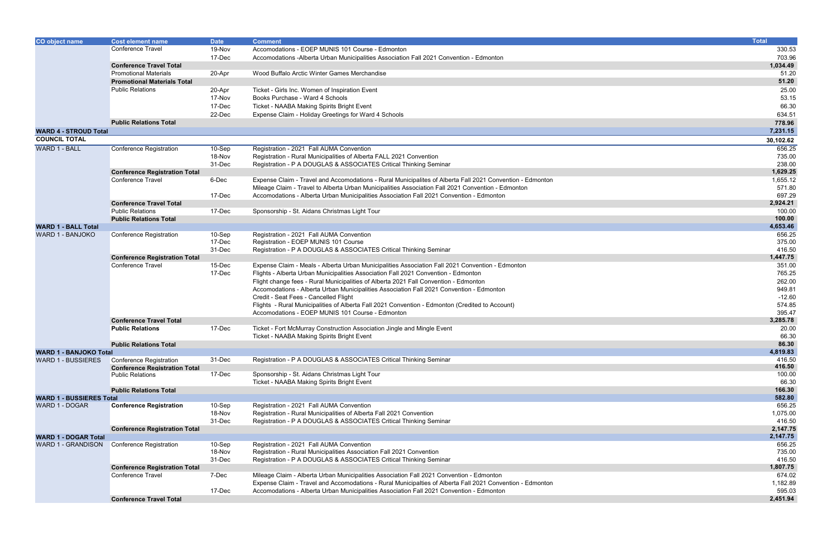| <b>CO object name</b>                             | Cost element name                                               | <b>Date</b> | <b>Comment</b>                                                                                            | <b>Total</b>     |
|---------------------------------------------------|-----------------------------------------------------------------|-------------|-----------------------------------------------------------------------------------------------------------|------------------|
|                                                   | Conference Travel                                               | 19-Nov      | Accomodations - EOEP MUNIS 101 Course - Edmonton                                                          | 330.53           |
|                                                   |                                                                 | 17-Dec      | Accomodations -Alberta Urban Municipalities Association Fall 2021 Convention - Edmonton                   | 703.96           |
|                                                   | <b>Conference Travel Total</b>                                  |             |                                                                                                           | 1,034.49         |
|                                                   | <b>Promotional Materials</b>                                    | 20-Apr      | Wood Buffalo Arctic Winter Games Merchandise                                                              | 51.20            |
|                                                   | <b>Promotional Materials Total</b>                              |             |                                                                                                           | 51.20            |
|                                                   | <b>Public Relations</b>                                         | 20-Apr      | Ticket - Girls Inc. Women of Inspiration Event                                                            | 25.00            |
|                                                   |                                                                 | 17-Nov      | Books Purchase - Ward 4 Schools                                                                           | 53.15            |
|                                                   |                                                                 | 17-Dec      | Ticket - NAABA Making Spirits Bright Event                                                                | 66.30            |
|                                                   |                                                                 | 22-Dec      | Expense Claim - Holiday Greetings for Ward 4 Schools                                                      | 634.51           |
|                                                   |                                                                 |             |                                                                                                           |                  |
|                                                   | <b>Public Relations Total</b>                                   |             |                                                                                                           | 778.96           |
| <b>WARD 4 - STROUD Total</b>                      |                                                                 |             |                                                                                                           | 7,231.15         |
| <b>COUNCIL TOTAL</b>                              |                                                                 |             |                                                                                                           | 30,102.62        |
| <b>WARD 1 - BALL</b>                              | Conference Registration                                         | $10-Sep$    | Registration - 2021 Fall AUMA Convention                                                                  | 656.25           |
|                                                   |                                                                 | 18-Nov      | Registration - Rural Municipalities of Alberta FALL 2021 Convention                                       | 735.00           |
|                                                   |                                                                 | 31-Dec      | Registration - P A DOUGLAS & ASSOCIATES Critical Thinking Seminar                                         | 238.00           |
|                                                   | <b>Conference Registration Total</b>                            |             |                                                                                                           | 1,629.25         |
|                                                   | Conference Travel                                               | 6-Dec       | Expense Claim - Travel and Accomodations - Rural Municipalites of Alberta Fall 2021 Convention - Edmonton | 1,655.12         |
|                                                   |                                                                 |             | Mileage Claim - Travel to Alberta Urban Municipalities Association Fall 2021 Convention - Edmonton        | 571.80           |
|                                                   |                                                                 | 17-Dec      | Accomodations - Alberta Urban Municipalities Association Fall 2021 Convention - Edmonton                  | 697.29           |
|                                                   | <b>Conference Travel Total</b>                                  |             |                                                                                                           | 2,924.21         |
|                                                   | <b>Public Relations</b>                                         | 17-Dec      | Sponsorship - St. Aidans Christmas Light Tour                                                             | 100.00           |
|                                                   | <b>Public Relations Total</b>                                   |             |                                                                                                           | 100.00           |
| <b>WARD 1 - BALL Total</b>                        |                                                                 |             |                                                                                                           | 4,653.46         |
| WARD 1 - BANJOKO                                  | Conference Registration                                         | 10-Sep      | Registration - 2021 Fall AUMA Convention                                                                  | 656.25           |
|                                                   |                                                                 | 17-Dec      | Registration - EOEP MUNIS 101 Course                                                                      | 375.00<br>416.50 |
|                                                   |                                                                 | 31-Dec      | Registration - P A DOUGLAS & ASSOCIATES Critical Thinking Seminar                                         | 1,447.75         |
|                                                   | <b>Conference Registration Total</b>                            |             |                                                                                                           |                  |
|                                                   | Conference Travel                                               | 15-Dec      | Expense Claim - Meals - Alberta Urban Municipalities Association Fall 2021 Convention - Edmonton          | 351.00           |
|                                                   |                                                                 | 17-Dec      | Flights - Alberta Urban Municipalities Association Fall 2021 Convention - Edmonton                        | 765.25           |
|                                                   |                                                                 |             | Flight change fees - Rural Municipalities of Alberta 2021 Fall Convention - Edmonton                      | 262.00           |
|                                                   |                                                                 |             | Accomodations - Alberta Urban Municipalities Association Fall 2021 Convention - Edmonton                  | 949.81           |
|                                                   |                                                                 |             | Credit - Seat Fees - Cancelled Flight                                                                     | $-12.60$         |
|                                                   |                                                                 |             | Flights - Rural Municipalities of Alberta Fall 2021 Convention - Edmonton (Credited to Account)           | 574.85           |
|                                                   |                                                                 |             | Accomodations - EOEP MUNIS 101 Course - Edmonton                                                          | 395.47           |
|                                                   | <b>Conference Travel Total</b>                                  |             |                                                                                                           | 3,285.78         |
|                                                   | <b>Public Relations</b>                                         | 17-Dec      | Ticket - Fort McMurray Construction Association Jingle and Mingle Event                                   | 20.00            |
|                                                   |                                                                 |             | Ticket - NAABA Making Spirits Bright Event                                                                | 66.30            |
|                                                   | <b>Public Relations Total</b>                                   |             |                                                                                                           | 86.30            |
| <b>WARD 1 - BANJOKO Total</b>                     |                                                                 |             |                                                                                                           | 4,819.83         |
| WARD 1 - BUSSIERES                                | Conference Registration                                         | 31-Dec      | Registration - P A DOUGLAS & ASSOCIATES Critical Thinking Seminar                                         | 416.50<br>416.50 |
|                                                   | <b>Conference Registration Total</b><br><b>Public Relations</b> | 17-Dec      | Sponsorship - St. Aidans Christmas Light Tour                                                             | 100.00           |
|                                                   |                                                                 |             | Ticket - NAABA Making Spirits Bright Event                                                                | 66.30            |
|                                                   | <b>Public Relations Total</b>                                   |             |                                                                                                           | 166.30           |
| <b>WARD 1 - BUSSIERES Total</b>                   |                                                                 |             |                                                                                                           | 582.80           |
| WARD 1 - DOGAR                                    | <b>Conference Registration</b>                                  | 10-Sep      | Registration - 2021 Fall AUMA Convention                                                                  | 656.25           |
|                                                   |                                                                 | 18-Nov      | Registration - Rural Municipalities of Alberta Fall 2021 Convention                                       | 1,075.00         |
|                                                   |                                                                 | 31-Dec      | Registration - P A DOUGLAS & ASSOCIATES Critical Thinking Seminar                                         | 416.50           |
|                                                   | <b>Conference Registration Total</b>                            |             |                                                                                                           | 2,147.75         |
|                                                   |                                                                 |             |                                                                                                           | 2,147.75         |
| <b>WARD 1 - DOGAR Total</b><br>WARD 1 - GRANDISON | Conference Registration                                         | 10-Sep      | Registration - 2021 Fall AUMA Convention                                                                  | 656.25           |
|                                                   |                                                                 | 18-Nov      | Registration - Rural Municipalities Association Fall 2021 Convention                                      | 735.00           |
|                                                   |                                                                 | 31-Dec      | Registration - P A DOUGLAS & ASSOCIATES Critical Thinking Seminar                                         | 416.50           |
|                                                   | <b>Conference Registration Total</b>                            |             |                                                                                                           | 1,807.75         |
|                                                   | <b>Conference Travel</b>                                        | 7-Dec       | Mileage Claim - Alberta Urban Municipalities Association Fall 2021 Convention - Edmonton                  | 674.02           |
|                                                   |                                                                 |             | Expense Claim - Travel and Accomodations - Rural Municipalties of Alberta Fall 2021 Convention - Edmonton | 1,182.89         |
|                                                   |                                                                 | 17-Dec      | Accomodations - Alberta Urban Municipalities Association Fall 2021 Convention - Edmonton                  | 595.03           |
|                                                   | <b>Conference Travel Total</b>                                  |             |                                                                                                           | 2,451.94         |
|                                                   |                                                                 |             |                                                                                                           |                  |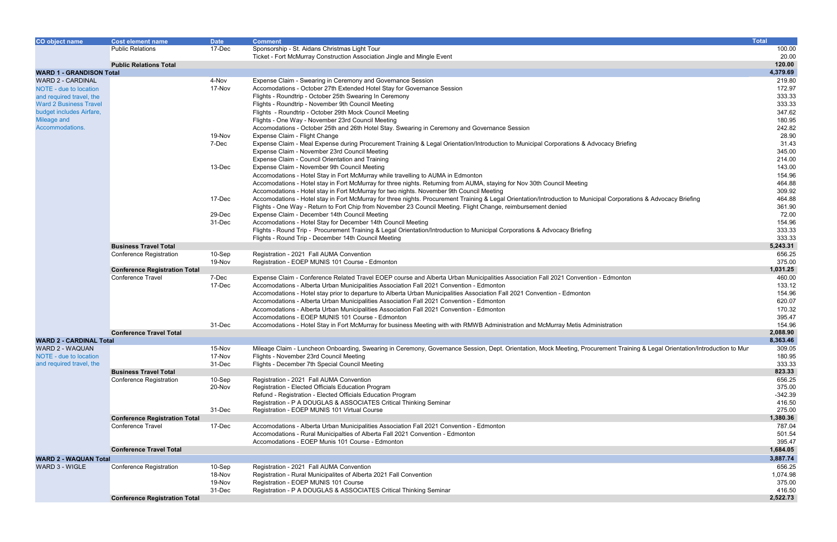| CO object name                                            | <b>Cost element name</b>                                                           | <b>Date</b> | <b>Comment</b>                                                                                                                                                               | <b>Total</b>       |
|-----------------------------------------------------------|------------------------------------------------------------------------------------|-------------|------------------------------------------------------------------------------------------------------------------------------------------------------------------------------|--------------------|
|                                                           | 17-Dec<br><b>Public Relations</b><br>Sponsorship - St. Aidans Christmas Light Tour |             |                                                                                                                                                                              | 100.00             |
|                                                           | Ticket - Fort McMurray Construction Association Jingle and Mingle Event            |             |                                                                                                                                                                              | 20.00              |
|                                                           | <b>Public Relations Total</b>                                                      |             |                                                                                                                                                                              | 120.00             |
| <b>WARD 1 - GRANDISON Total</b>                           |                                                                                    |             |                                                                                                                                                                              | 4,379.69           |
| <b>WARD 2 - CARDINAL</b>                                  |                                                                                    | 4-Nov       | Expense Claim - Swearing in Ceremony and Governance Session                                                                                                                  | 219.80             |
| NOTE - due to location                                    | 17-Nov<br>Accomodations - October 27th Extended Hotel Stay for Governance Session  |             |                                                                                                                                                                              | 172.97             |
| and required travel, the                                  |                                                                                    |             | Flights - Roundtrip - October 25th Swearing In Ceremony                                                                                                                      | 333.33             |
| <b>Ward 2 Business Travel</b><br>budget includes Airfare, |                                                                                    |             | Flights - Roundtrip - November 9th Council Meeting<br>Flights - Roundtrip - October 29th Mock Council Meeting                                                                | 333.33<br>347.62   |
| Mileage and                                               |                                                                                    |             | Flights - One Way - November 23rd Council Meeting                                                                                                                            | 180.95             |
| Accommodations.                                           |                                                                                    |             | Accomodations - October 25th and 26th Hotel Stay. Swearing in Ceremony and Governance Session                                                                                | 242.82             |
|                                                           |                                                                                    | 19-Nov      | Expense Claim - Flight Change                                                                                                                                                | 28.90              |
|                                                           |                                                                                    | 7-Dec       | Expense Claim - Meal Expense during Procurement Training & Legal Orientation/Introduction to Municipal Corporations & Advocacy Briefing                                      | 31.43              |
|                                                           |                                                                                    |             | Expense Claim - November 23rd Council Meeting                                                                                                                                | 345.00             |
|                                                           |                                                                                    |             | Expense Claim - Council Orientation and Training                                                                                                                             | 214.00             |
|                                                           |                                                                                    | 13-Dec      | Expense Claim - November 9th Council Meeting                                                                                                                                 | 143.00             |
|                                                           |                                                                                    |             | Accomodations - Hotel Stay in Fort McMurray while travelling to AUMA in Edmonton                                                                                             | 154.96             |
|                                                           |                                                                                    |             | Accomodations - Hotel stay in Fort McMurray for three nights. Returning from AUMA, staying for Nov 30th Council Meeting                                                      | 464.88             |
|                                                           |                                                                                    |             | Accomodations - Hotel stay in Fort McMurray for two nights. November 9th Council Meeting                                                                                     | 309.92             |
|                                                           |                                                                                    | 17-Dec      | Accomodations - Hotel stay in Fort McMurray for three nights. Procurement Training & Legal Orientation/Introduction to Municipal Corporations & Advocacy Briefing            | 464.88             |
|                                                           |                                                                                    |             | Flights - One Way - Return to Fort Chip from November 23 Council Meeting. Flight Change, reimbursement denied                                                                | 361.90             |
|                                                           |                                                                                    | 29-Dec      | Expense Claim - December 14th Council Meeting                                                                                                                                | 72.00              |
|                                                           |                                                                                    | 31-Dec      | Accomodations - Hotel Stay for December 14th Council Meeting                                                                                                                 | 154.96             |
|                                                           |                                                                                    |             | Flights - Round Trip - Procurement Training & Legal Orientation/Introduction to Municipal Corporations & Advocacy Briefing                                                   | 333.33             |
|                                                           |                                                                                    |             | Flights - Round Trip - December 14th Council Meeting                                                                                                                         | 333.33<br>5,243.31 |
|                                                           | <b>Business Travel Total</b><br><b>Conference Registration</b>                     | 10-Sep      | Registration - 2021 Fall AUMA Convention                                                                                                                                     | 656.25             |
|                                                           |                                                                                    | 19-Nov      | Registration - EOEP MUNIS 101 Course - Edmonton                                                                                                                              | 375.00             |
|                                                           | <b>Conference Registration Total</b>                                               |             |                                                                                                                                                                              | 1,031.25           |
|                                                           | <b>Conference Travel</b>                                                           | 7-Dec       | Expense Claim - Conference Related Travel EOEP course and Alberta Urban Municipalities Association Fall 2021 Convention - Edmonton                                           | 460.00             |
|                                                           |                                                                                    | 17-Dec      | Accomodations - Alberta Urban Municipalities Association Fall 2021 Convention - Edmonton                                                                                     | 133.12             |
|                                                           |                                                                                    |             | Accomodations - Hotel stay prior to departure to Alberta Urban Municipalities Association Fall 2021 Convention - Edmonton                                                    | 154.96             |
|                                                           |                                                                                    |             | Accomodations - Alberta Urban Municipalities Association Fall 2021 Convention - Edmonton                                                                                     | 620.07             |
|                                                           |                                                                                    |             | Accomodations - Alberta Urban Municipalities Association Fall 2021 Convention - Edmonton                                                                                     | 170.32             |
|                                                           |                                                                                    |             | Accomodations - EOEP MUNIS 101 Course - Edmonton                                                                                                                             | 395.47             |
|                                                           |                                                                                    | 31-Dec      | Accomodations - Hotel Stay in Fort McMurray for business Meeting with with RMWB Administration and McMurray Metis Administration                                             | 154.96             |
|                                                           | <b>Conference Travel Total</b>                                                     |             |                                                                                                                                                                              | 2,088.90           |
| <b>WARD 2 - CARDINAL Total</b>                            |                                                                                    |             |                                                                                                                                                                              | 8,363.46           |
| WARD 2 - WAQUAN                                           |                                                                                    | 15-Nov      | Mileage Claim - Luncheon Onboarding, Swearing in Ceremony, Governance Session, Dept. Orientation, Mock Meeting, Procurement Training & Legal Orientation/Introduction to Mun | 309.05             |
| NOTE - due to location                                    |                                                                                    | 17-Nov      | Flights - November 23rd Council Meeting                                                                                                                                      | 180.95             |
| and required travel, the                                  |                                                                                    | 31-Dec      | Flights - December 7th Special Council Meeting                                                                                                                               | 333.33<br>823.33   |
|                                                           | <b>Business Travel Total</b><br><b>Conference Registration</b>                     | 10-Sep      | Registration - 2021 Fall AUMA Convention                                                                                                                                     | 656.25             |
|                                                           |                                                                                    | 20-Nov      | Registration - Elected Officials Education Program                                                                                                                           | 375.00             |
|                                                           |                                                                                    |             | Refund - Registration - Elected Officials Education Program                                                                                                                  | $-342.39$          |
|                                                           |                                                                                    |             | Registration - P A DOUGLAS & ASSOCIATES Critical Thinking Seminar                                                                                                            | 416.50             |
|                                                           |                                                                                    | 31-Dec      | Registration - EOEP MUNIS 101 Virtual Course                                                                                                                                 | 275.00             |
|                                                           | <b>Conference Registration Total</b>                                               |             |                                                                                                                                                                              | 1,380.36           |
|                                                           | Conference Travel                                                                  | 17-Dec      | Accomodations - Alberta Urban Municipalities Association Fall 2021 Convention - Edmonton                                                                                     | 787.04             |
|                                                           |                                                                                    |             | Accomodations - Rural Municipalties of Alberta Fall 2021 Convention - Edmonton                                                                                               | 501.54             |
|                                                           |                                                                                    |             | Accomodations - EOEP Munis 101 Course - Edmonton                                                                                                                             | 395.47             |
|                                                           | <b>Conference Travel Total</b>                                                     |             |                                                                                                                                                                              | 1,684.05           |
| <b>WARD 2 - WAQUAN Total</b>                              |                                                                                    |             |                                                                                                                                                                              | 3,887.74           |
| WARD 3 - WIGLE                                            | Conference Registration                                                            | 10-Sep      | Registration - 2021 Fall AUMA Convention                                                                                                                                     | 656.25             |
|                                                           |                                                                                    | 18-Nov      | Registration - Rural Municipalites of Alberta 2021 Fall Convention                                                                                                           | 1,074.98           |
|                                                           |                                                                                    | 19-Nov      | Registration - EOEP MUNIS 101 Course                                                                                                                                         | 375.00             |
|                                                           |                                                                                    | 31-Dec      | Registration - P A DOUGLAS & ASSOCIATES Critical Thinking Seminar                                                                                                            | 416.50<br>2,522.73 |
|                                                           | <b>Conference Registration Total</b>                                               |             |                                                                                                                                                                              |                    |